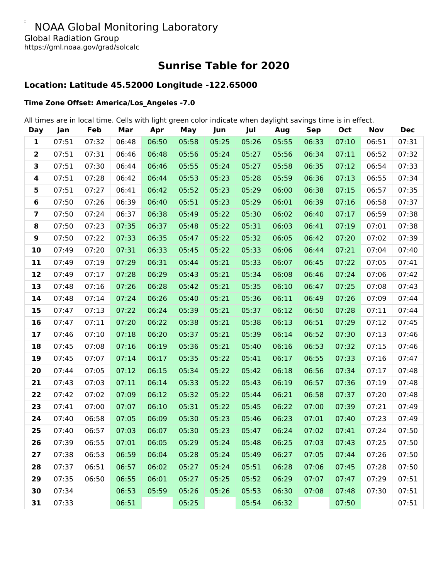#### $\Box$ NOAA Global Monitoring Laboratory Global Radiation Group https://gml.noaa.gov/grad/solcalc

**Sunrise Table for 2020**

# **Location: Latitude 45.52000 Longitude -122.65000**

### **Time Zone Offset: America/Los\_Angeles -7.0**

All times are in local time. Cells with light green color indicate when daylight savings time is in effect.

| <b>Day</b>              | Jan   | Feb   | Mar   | Apr   | May   | Jun   | Jul   | Aug   | <b>Sep</b> | Oct   | <b>Nov</b> | <b>Dec</b> |
|-------------------------|-------|-------|-------|-------|-------|-------|-------|-------|------------|-------|------------|------------|
| 1                       | 07:51 | 07:32 | 06:48 | 06:50 | 05:58 | 05:25 | 05:26 | 05:55 | 06:33      | 07:10 | 06:51      | 07:31      |
| $\overline{\mathbf{2}}$ | 07:51 | 07:31 | 06:46 | 06:48 | 05:56 | 05:24 | 05:27 | 05:56 | 06:34      | 07:11 | 06:52      | 07:32      |
| 3                       | 07:51 | 07:30 | 06:44 | 06:46 | 05:55 | 05:24 | 05:27 | 05:58 | 06:35      | 07:12 | 06:54      | 07:33      |
| 4                       | 07:51 | 07:28 | 06:42 | 06:44 | 05:53 | 05:23 | 05:28 | 05:59 | 06:36      | 07:13 | 06:55      | 07:34      |
| 5                       | 07:51 | 07:27 | 06:41 | 06:42 | 05:52 | 05:23 | 05:29 | 06:00 | 06:38      | 07:15 | 06:57      | 07:35      |
| 6                       | 07:50 | 07:26 | 06:39 | 06:40 | 05:51 | 05:23 | 05:29 | 06:01 | 06:39      | 07:16 | 06:58      | 07:37      |
| $\overline{\mathbf{z}}$ | 07:50 | 07:24 | 06:37 | 06:38 | 05:49 | 05:22 | 05:30 | 06:02 | 06:40      | 07:17 | 06:59      | 07:38      |
| 8                       | 07:50 | 07:23 | 07:35 | 06:37 | 05:48 | 05:22 | 05:31 | 06:03 | 06:41      | 07:19 | 07:01      | 07:38      |
| 9                       | 07:50 | 07:22 | 07:33 | 06:35 | 05:47 | 05:22 | 05:32 | 06:05 | 06:42      | 07:20 | 07:02      | 07:39      |
| 10                      | 07:49 | 07:20 | 07:31 | 06:33 | 05:45 | 05:22 | 05:33 | 06:06 | 06:44      | 07:21 | 07:04      | 07:40      |
| 11                      | 07:49 | 07:19 | 07:29 | 06:31 | 05:44 | 05:21 | 05:33 | 06:07 | 06:45      | 07:22 | 07:05      | 07:41      |
| 12                      | 07:49 | 07:17 | 07:28 | 06:29 | 05:43 | 05:21 | 05:34 | 06:08 | 06:46      | 07:24 | 07:06      | 07:42      |
| 13                      | 07:48 | 07:16 | 07:26 | 06:28 | 05:42 | 05:21 | 05:35 | 06:10 | 06:47      | 07:25 | 07:08      | 07:43      |
| 14                      | 07:48 | 07:14 | 07:24 | 06:26 | 05:40 | 05:21 | 05:36 | 06:11 | 06:49      | 07:26 | 07:09      | 07:44      |
| 15                      | 07:47 | 07:13 | 07:22 | 06:24 | 05:39 | 05:21 | 05:37 | 06:12 | 06:50      | 07:28 | 07:11      | 07:44      |
| 16                      | 07:47 | 07:11 | 07:20 | 06:22 | 05:38 | 05:21 | 05:38 | 06:13 | 06:51      | 07:29 | 07:12      | 07:45      |
| 17                      | 07:46 | 07:10 | 07:18 | 06:20 | 05:37 | 05:21 | 05:39 | 06:14 | 06:52      | 07:30 | 07:13      | 07:46      |
| 18                      | 07:45 | 07:08 | 07:16 | 06:19 | 05:36 | 05:21 | 05:40 | 06:16 | 06:53      | 07:32 | 07:15      | 07:46      |
| 19                      | 07:45 | 07:07 | 07:14 | 06:17 | 05:35 | 05:22 | 05:41 | 06:17 | 06:55      | 07:33 | 07:16      | 07:47      |
| 20                      | 07:44 | 07:05 | 07:12 | 06:15 | 05:34 | 05:22 | 05:42 | 06:18 | 06:56      | 07:34 | 07:17      | 07:48      |
| 21                      | 07:43 | 07:03 | 07:11 | 06:14 | 05:33 | 05:22 | 05:43 | 06:19 | 06:57      | 07:36 | 07:19      | 07:48      |
| 22                      | 07:42 | 07:02 | 07:09 | 06:12 | 05:32 | 05:22 | 05:44 | 06:21 | 06:58      | 07:37 | 07:20      | 07:48      |
| 23                      | 07:41 | 07:00 | 07:07 | 06:10 | 05:31 | 05:22 | 05:45 | 06:22 | 07:00      | 07:39 | 07:21      | 07:49      |
| 24                      | 07:40 | 06:58 | 07:05 | 06:09 | 05:30 | 05:23 | 05:46 | 06:23 | 07:01      | 07:40 | 07:23      | 07:49      |
| 25                      | 07:40 | 06:57 | 07:03 | 06:07 | 05:30 | 05:23 | 05:47 | 06:24 | 07:02      | 07:41 | 07:24      | 07:50      |
| 26                      | 07:39 | 06:55 | 07:01 | 06:05 | 05:29 | 05:24 | 05:48 | 06:25 | 07:03      | 07:43 | 07:25      | 07:50      |
| 27                      | 07:38 | 06:53 | 06:59 | 06:04 | 05:28 | 05:24 | 05:49 | 06:27 | 07:05      | 07:44 | 07:26      | 07:50      |
| 28                      | 07:37 | 06:51 | 06:57 | 06:02 | 05:27 | 05:24 | 05:51 | 06:28 | 07:06      | 07:45 | 07:28      | 07:50      |
| 29                      | 07:35 | 06:50 | 06:55 | 06:01 | 05:27 | 05:25 | 05:52 | 06:29 | 07:07      | 07:47 | 07:29      | 07:51      |
| 30                      | 07:34 |       | 06:53 | 05:59 | 05:26 | 05:26 | 05:53 | 06:30 | 07:08      | 07:48 | 07:30      | 07:51      |
| 31                      | 07:33 |       | 06:51 |       | 05:25 |       | 05:54 | 06:32 |            | 07:50 |            | 07:51      |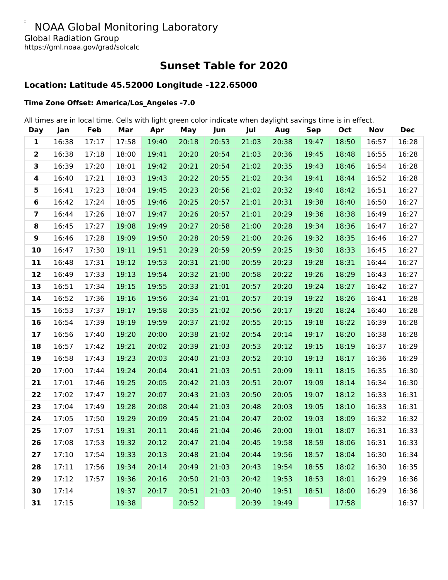#### $\Box$ NOAA Global Monitoring Laboratory Global Radiation Group https://gml.noaa.gov/grad/solcalc

**Sunset Table for 2020**

# **Location: Latitude 45.52000 Longitude -122.65000**

### **Time Zone Offset: America/Los\_Angeles -7.0**

All times are in local time. Cells with light green color indicate when daylight savings time is in effect.

| <b>Day</b>              | Jan   | Feb   | Mar   | Apr   | May   | Jun   | Jul   | Aug   | <b>Sep</b> | Oct   | <b>Nov</b> | <b>Dec</b> |
|-------------------------|-------|-------|-------|-------|-------|-------|-------|-------|------------|-------|------------|------------|
| 1                       | 16:38 | 17:17 | 17:58 | 19:40 | 20:18 | 20:53 | 21:03 | 20:38 | 19:47      | 18:50 | 16:57      | 16:28      |
| $\overline{\mathbf{2}}$ | 16:38 | 17:18 | 18:00 | 19:41 | 20:20 | 20:54 | 21:03 | 20:36 | 19:45      | 18:48 | 16:55      | 16:28      |
| 3                       | 16:39 | 17:20 | 18:01 | 19:42 | 20:21 | 20:54 | 21:02 | 20:35 | 19:43      | 18:46 | 16:54      | 16:28      |
| $\overline{\mathbf{4}}$ | 16:40 | 17:21 | 18:03 | 19:43 | 20:22 | 20:55 | 21:02 | 20:34 | 19:41      | 18:44 | 16:52      | 16:28      |
| 5                       | 16:41 | 17:23 | 18:04 | 19:45 | 20:23 | 20:56 | 21:02 | 20:32 | 19:40      | 18:42 | 16:51      | 16:27      |
| $\bf 6$                 | 16:42 | 17:24 | 18:05 | 19:46 | 20:25 | 20:57 | 21:01 | 20:31 | 19:38      | 18:40 | 16:50      | 16:27      |
| $\overline{\mathbf{z}}$ | 16:44 | 17:26 | 18:07 | 19:47 | 20:26 | 20:57 | 21:01 | 20:29 | 19:36      | 18:38 | 16:49      | 16:27      |
| 8                       | 16:45 | 17:27 | 19:08 | 19:49 | 20:27 | 20:58 | 21:00 | 20:28 | 19:34      | 18:36 | 16:47      | 16:27      |
| $\boldsymbol{9}$        | 16:46 | 17:28 | 19:09 | 19:50 | 20:28 | 20:59 | 21:00 | 20:26 | 19:32      | 18:35 | 16:46      | 16:27      |
| 10                      | 16:47 | 17:30 | 19:11 | 19:51 | 20:29 | 20:59 | 20:59 | 20:25 | 19:30      | 18:33 | 16:45      | 16:27      |
| 11                      | 16:48 | 17:31 | 19:12 | 19:53 | 20:31 | 21:00 | 20:59 | 20:23 | 19:28      | 18:31 | 16:44      | 16:27      |
| 12                      | 16:49 | 17:33 | 19:13 | 19:54 | 20:32 | 21:00 | 20:58 | 20:22 | 19:26      | 18:29 | 16:43      | 16:27      |
| 13                      | 16:51 | 17:34 | 19:15 | 19:55 | 20:33 | 21:01 | 20:57 | 20:20 | 19:24      | 18:27 | 16:42      | 16:27      |
| 14                      | 16:52 | 17:36 | 19:16 | 19:56 | 20:34 | 21:01 | 20:57 | 20:19 | 19:22      | 18:26 | 16:41      | 16:28      |
| 15                      | 16:53 | 17:37 | 19:17 | 19:58 | 20:35 | 21:02 | 20:56 | 20:17 | 19:20      | 18:24 | 16:40      | 16:28      |
| 16                      | 16:54 | 17:39 | 19:19 | 19:59 | 20:37 | 21:02 | 20:55 | 20:15 | 19:18      | 18:22 | 16:39      | 16:28      |
| 17                      | 16:56 | 17:40 | 19:20 | 20:00 | 20:38 | 21:02 | 20:54 | 20:14 | 19:17      | 18:20 | 16:38      | 16:28      |
| 18                      | 16:57 | 17:42 | 19:21 | 20:02 | 20:39 | 21:03 | 20:53 | 20:12 | 19:15      | 18:19 | 16:37      | 16:29      |
| 19                      | 16:58 | 17:43 | 19:23 | 20:03 | 20:40 | 21:03 | 20:52 | 20:10 | 19:13      | 18:17 | 16:36      | 16:29      |
| 20                      | 17:00 | 17:44 | 19:24 | 20:04 | 20:41 | 21:03 | 20:51 | 20:09 | 19:11      | 18:15 | 16:35      | 16:30      |
| 21                      | 17:01 | 17:46 | 19:25 | 20:05 | 20:42 | 21:03 | 20:51 | 20:07 | 19:09      | 18:14 | 16:34      | 16:30      |
| 22                      | 17:02 | 17:47 | 19:27 | 20:07 | 20:43 | 21:03 | 20:50 | 20:05 | 19:07      | 18:12 | 16:33      | 16:31      |
| 23                      | 17:04 | 17:49 | 19:28 | 20:08 | 20:44 | 21:03 | 20:48 | 20:03 | 19:05      | 18:10 | 16:33      | 16:31      |
| 24                      | 17:05 | 17:50 | 19:29 | 20:09 | 20:45 | 21:04 | 20:47 | 20:02 | 19:03      | 18:09 | 16:32      | 16:32      |
| 25                      | 17:07 | 17:51 | 19:31 | 20:11 | 20:46 | 21:04 | 20:46 | 20:00 | 19:01      | 18:07 | 16:31      | 16:33      |
| 26                      | 17:08 | 17:53 | 19:32 | 20:12 | 20:47 | 21:04 | 20:45 | 19:58 | 18:59      | 18:06 | 16:31      | 16:33      |
| 27                      | 17:10 | 17:54 | 19:33 | 20:13 | 20:48 | 21:04 | 20:44 | 19:56 | 18:57      | 18:04 | 16:30      | 16:34      |
| 28                      | 17:11 | 17:56 | 19:34 | 20:14 | 20:49 | 21:03 | 20:43 | 19:54 | 18:55      | 18:02 | 16:30      | 16:35      |
| 29                      | 17:12 | 17:57 | 19:36 | 20:16 | 20:50 | 21:03 | 20:42 | 19:53 | 18:53      | 18:01 | 16:29      | 16:36      |
| 30                      | 17:14 |       | 19:37 | 20:17 | 20:51 | 21:03 | 20:40 | 19:51 | 18:51      | 18:00 | 16:29      | 16:36      |
| 31                      | 17:15 |       | 19:38 |       | 20:52 |       | 20:39 | 19:49 |            | 17:58 |            | 16:37      |